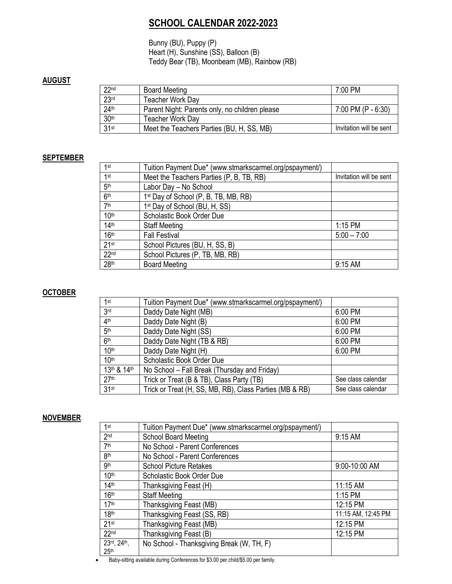# **SCHOOL CALENDAR 2022-2023**

Bunny (BU), Puppy (P) Heart (H), Sunshine (SS), Balloon (B) Teddy Bear (TB), Moonbeam (MB), Rainbow (RB)

### **AUGUST**

| 22 <sup>nd</sup> | <b>Board Meeting</b>                           | 7:00 PM                 |
|------------------|------------------------------------------------|-------------------------|
| 23 <sup>rd</sup> | Teacher Work Day                               |                         |
| 24 <sup>th</sup> | Parent Night: Parents only, no children please | 7:00 PM (P - $6:30$ )   |
| 30th             | Teacher Work Day                               |                         |
| 31 <sup>st</sup> | Meet the Teachers Parties (BU, H, SS, MB)      | Invitation will be sent |

#### **SEPTEMBER**

| 1st              | Tuition Payment Due* (www.stmarkscarmel.org/pspayment/) |                         |
|------------------|---------------------------------------------------------|-------------------------|
| 1st              | Meet the Teachers Parties (P, B, TB, RB)                | Invitation will be sent |
| 5 <sup>th</sup>  | Labor Day - No School                                   |                         |
| 6 <sup>th</sup>  | 1 <sup>st</sup> Day of School (P, B, TB, MB, RB)        |                         |
| 7 <sup>th</sup>  | 1st Day of School (BU, H, SS)                           |                         |
| 10 <sup>th</sup> | Scholastic Book Order Due                               |                         |
| 14 <sup>th</sup> | <b>Staff Meeting</b>                                    | 1:15 PM                 |
| 16 <sup>th</sup> | <b>Fall Festival</b>                                    | $5:00 - 7:00$           |
| 21st             | School Pictures (BU, H, SS, B)                          |                         |
| 22 <sub>nd</sub> | School Pictures (P, TB, MB, RB)                         |                         |
| 28 <sup>th</sup> | <b>Board Meeting</b>                                    | 9:15 AM                 |

#### **OCTOBER**

| 1st              | Tuition Payment Due* (www.stmarkscarmel.org/pspayment/) |                    |
|------------------|---------------------------------------------------------|--------------------|
| 3 <sub>rd</sub>  | Daddy Date Night (MB)                                   | 6:00 PM            |
| 4 <sup>th</sup>  | Daddy Date Night (B)                                    | 6:00 PM            |
| 5 <sup>th</sup>  | Daddy Date Night (SS)                                   | 6:00 PM            |
| 6 <sup>th</sup>  | Daddy Date Night (TB & RB)                              | 6:00 PM            |
| 10 <sup>th</sup> | Daddy Date Night (H)                                    | 6:00 PM            |
| 10 <sup>th</sup> | Scholastic Book Order Due                               |                    |
| 13th & 14th      | No School - Fall Break (Thursday and Friday)            |                    |
| 27 <sup>th</sup> | Trick or Treat (B & TB), Class Party (TB)               | See class calendar |
| 31 <sup>st</sup> | Trick or Treat (H, SS, MB, RB), Class Parties (MB & RB) | See class calendar |

#### **NOVEMBER**

| 1st                             | Tuition Payment Due* (www.stmarkscarmel.org/pspayment/) |                    |
|---------------------------------|---------------------------------------------------------|--------------------|
| 2 <sub>nd</sub>                 | <b>School Board Meeting</b>                             | 9:15 AM            |
| 7 <sup>th</sup>                 | No School - Parent Conferences                          |                    |
| 8th                             | No School - Parent Conferences                          |                    |
| <b>gth</b>                      | <b>School Picture Retakes</b>                           | 9:00-10:00 AM      |
| 10 <sup>th</sup>                | Scholastic Book Order Due                               |                    |
| 14 <sup>th</sup>                | Thanksgiving Feast (H)                                  | 11:15 AM           |
| 16th                            | <b>Staff Meeting</b>                                    | 1:15 PM            |
| 17 <sup>th</sup>                | Thanksgiving Feast (MB)                                 | 12:15 PM           |
| 18 <sup>th</sup>                | Thanksgiving Feast (SS, RB)                             | 11:15 AM, 12:45 PM |
| 21 <sup>st</sup>                | Thanksgiving Feast (MB)                                 | 12:15 PM           |
| 22 <sub>nd</sub>                | Thanksgiving Feast (B)                                  | 12:15 PM           |
| 23rd, 24th,<br>25 <sup>th</sup> | No School - Thanksgiving Break (W, TH, F)               |                    |

• Baby-sitting available during Conferences for \$3.00 per child/\$5.00 per family.